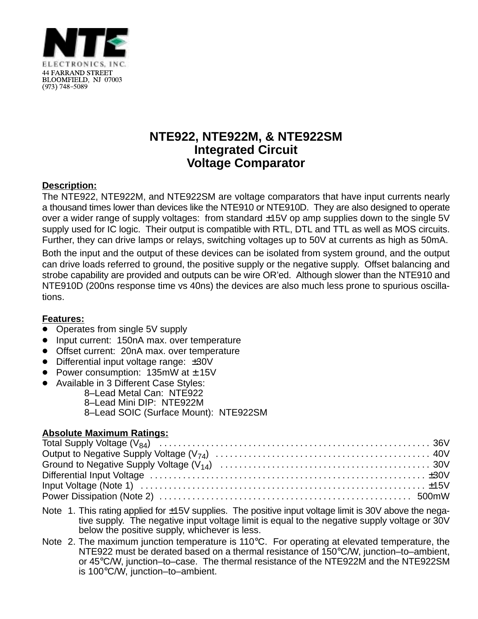

# **NTE922, NTE922M, & NTE922SM Integrated Circuit Voltage Comparator**

### **Description:**

The NTE922, NTE922M, and NTE922SM are voltage comparators that have input currents nearly a thousand times lower than devices like the NTE910 or NTE910D. They are also designed to operate over a wider range of supply voltages: from standard ±15V op amp supplies down to the single 5V supply used for IC logic. Their output is compatible with RTL, DTL and TTL as well as MOS circuits. Further, they can drive lamps or relays, switching voltages up to 50V at currents as high as 50mA.

Both the input and the output of these devices can be isolated from system ground, and the output can drive loads referred to ground, the positive supply or the negative supply. Offset balancing and strobe capability are provided and outputs can be wire OR'ed. Although slower than the NTE910 and NTE910D (200ns response time vs 40ns) the devices are also much less prone to spurious oscillations.

#### **Features:**

- <u>■ Catancor</u><br>● Operates from single 5V supply
- Input current: 150nA max. over temperature
- Offset current: 20nA max. over temperature
- Differential input voltage range: ±30V
- Power consumption:  $135 \text{mW}$  at  $\pm 15 \text{V}$
- Available in 3 Different Case Styles:
	- 8–Lead Metal Can: NTE922
		- 8–Lead Mini DIP: NTE922M
		- 8–Lead SOIC (Surface Mount): NTE922SM

#### **Absolute Maximum Ratings:**

- Note 1. This rating applied for ±15V supplies. The positive input voltage limit is 30V above the negative supply. The negative input voltage limit is equal to the negative supply voltage or 30V below the positive supply, whichever is less.
- Note 2. The maximum junction temperature is 110°C. For operating at elevated temperature, the NTE922 must be derated based on a thermal resistance of 150°C/W, junction–to–ambient, or 45°C/W, junction–to–case. The thermal resistance of the NTE922M and the NTE922SM is 100°C/W, junction–to–ambient.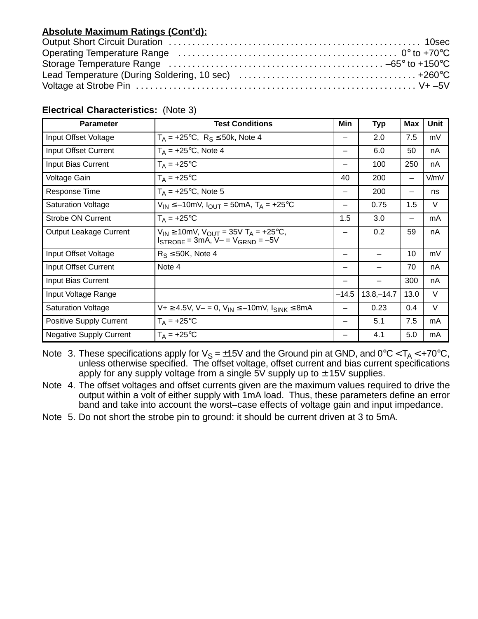## **Absolute Maximum Ratings (Cont'd):**

#### **Electrical Characteristics:** (Note 3)

| <b>Parameter</b>               | <b>Test Conditions</b>                                                                                  | Min             | <b>Typ</b>    | <b>Max</b> | Unit |
|--------------------------------|---------------------------------------------------------------------------------------------------------|-----------------|---------------|------------|------|
| Input Offset Voltage           | $T_A = +25$ °C, $R_S \le 50k$ , Note 4                                                                  | —               | 2.0           | 7.5        | mV   |
| Input Offset Current           | $T_A = +25$ °C, Note 4                                                                                  | —               | 6.0           | 50         | nA   |
| Input Bias Current             | $T_A = +25$ °C                                                                                          |                 | 100           | 250        | nA   |
| Voltage Gain                   | $T_A = +25$ °C                                                                                          | 40              | 200           | —          | V/mV |
| Response Time                  | $T_A$ = +25 $\degree$ C, Note 5                                                                         | -               | 200           | -          | ns   |
| <b>Saturation Voltage</b>      | $V_{IN} \le -10$ mV, $I_{OUT} = 50$ mA, T <sub>A</sub> = +25°C                                          |                 | 0.75          | 1.5        | V    |
| <b>Strobe ON Current</b>       | $T_A = +25$ °C                                                                                          | 1.5             | 3.0           | -          | mA   |
| <b>Output Leakage Current</b>  | $V_{IN} \ge 10$ mV, $V_{OUT} = 35V$ T <sub>A</sub> = +25°C,<br>$I_{STROBE}$ = 3mA, $V - V_{GRND} = -5V$ |                 | 0.2           | 59         | nA   |
| Input Offset Voltage           | $R_S \leq 50K$ , Note 4                                                                                 | $\qquad \qquad$ |               | 10         | mV   |
| Input Offset Current           | Note 4                                                                                                  | —               |               | 70         | nA   |
| Input Bias Current             |                                                                                                         |                 |               | 300        | nA   |
| Input Voltage Range            |                                                                                                         | $-14.5$         | $13.8 - 14.7$ | 13.0       | V    |
| <b>Saturation Voltage</b>      | $V+$ ≥ 4.5V, V- = 0, V <sub>IN</sub> ≤ -10mV, I <sub>SINK</sub> ≤ 8mA                                   |                 | 0.23          | 0.4        | V    |
| <b>Positive Supply Current</b> | $T_A = +25$ °C                                                                                          | —               | 5.1           | 7.5        | mA   |
| <b>Negative Supply Current</b> | $T_A = +25$ °C                                                                                          |                 | 4.1           | 5.0        | mA   |

Note  $\,$  3. These specifications apply for  $\rm V_S$  = $\pm$ 15V and the Ground pin at GND, and 0°C < T<sub>A</sub> < +70°C, unless otherwise specified. The offset voltage, offset current and bias current specifications apply for any supply voltage from a single  $5V$  supply up to  $\pm$  15V supplies.

- Note 4. The offset voltages and offset currents given are the maximum values required to drive the output within a volt of either supply with 1mA load. Thus, these parameters define an error band and take into account the worst–case effects of voltage gain and input impedance.
- Note 5. Do not short the strobe pin to ground: it should be current driven at 3 to 5mA.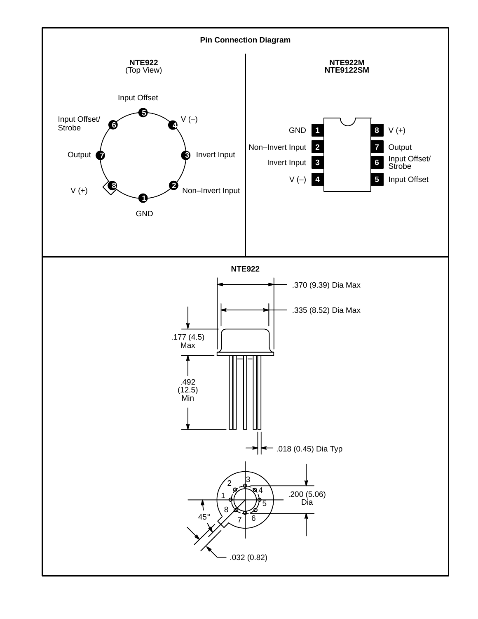